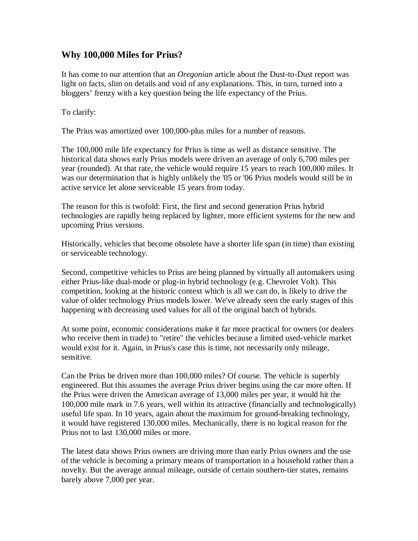## **Why 100,000 Miles for Prius?**

It has come to our attention that an *Oregonian* article about the Dust-to-Dust report was light on facts, slim on details and void of any explanations. This, in turn, turned into a bloggers' frenzy with a key question being the life expectancy of the Prius.

To clarify:

The Prius was amortized over 100,000-plus miles for a number of reasons.

The 100,000 mile life expectancy for Prius is time as well as distance sensitive. The historical data shows early Prius models were driven an average of only 6,700 miles per year (rounded). At that rate, the vehicle would require 15 years to reach 100,000 miles. It was our determination that is highly unlikely the '05 or '06 Prius models would still be in active service let alone serviceable 15 years from today.

The reason for this is twofold: First, the first and second generation Prius hybrid technologies are rapidly being replaced by lighter, more efficient systems for the new and upcoming Prius versions.

Historically, vehicles that become obsolete have a shorter life span (in time) than existing or serviceable technology.

Second, competitive vehicles to Prius are being planned by virtually all automakers using either Prius-like dual-mode or plug-in hybrid technology (e.g. Chevrolet Volt). This competition, looking at the historic context which is all we can do, is likely to drive the value of older technology Prius models lower. We've already seen the early stages of this happening with decreasing used values for all of the original batch of hybrids.

At some point, economic considerations make it far more practical for owners (or dealers who receive them in trade) to "retire" the vehicles because a limited used-vehicle market would exist for it. Again, in Prius's case this is time, not necessarily only mileage, sensitive.

Can the Prius be driven more than 100,000 miles? Of course. The vehicle is superbly engineered. But this assumes the average Prius driver begins using the car more often. If the Prius were driven the American average of 13,000 miles per year, it would hit the 100,000 mile mark in 7.6 years, well within its attractive (financially and technologically) useful life span. In 10 years, again about the maximum for ground-breaking technology, it would have registered 130,000 miles. Mechanically, there is no logical reason for the Prius not to last 130,000 miles or more.

The latest data shows Prius owners are driving more than early Prius owners and the use of the vehicle is becoming a primary means of transportation in a household rather than a novelty. But the average annual mileage, outside of certain southern-tier states, remains barely above 7,000 per year.